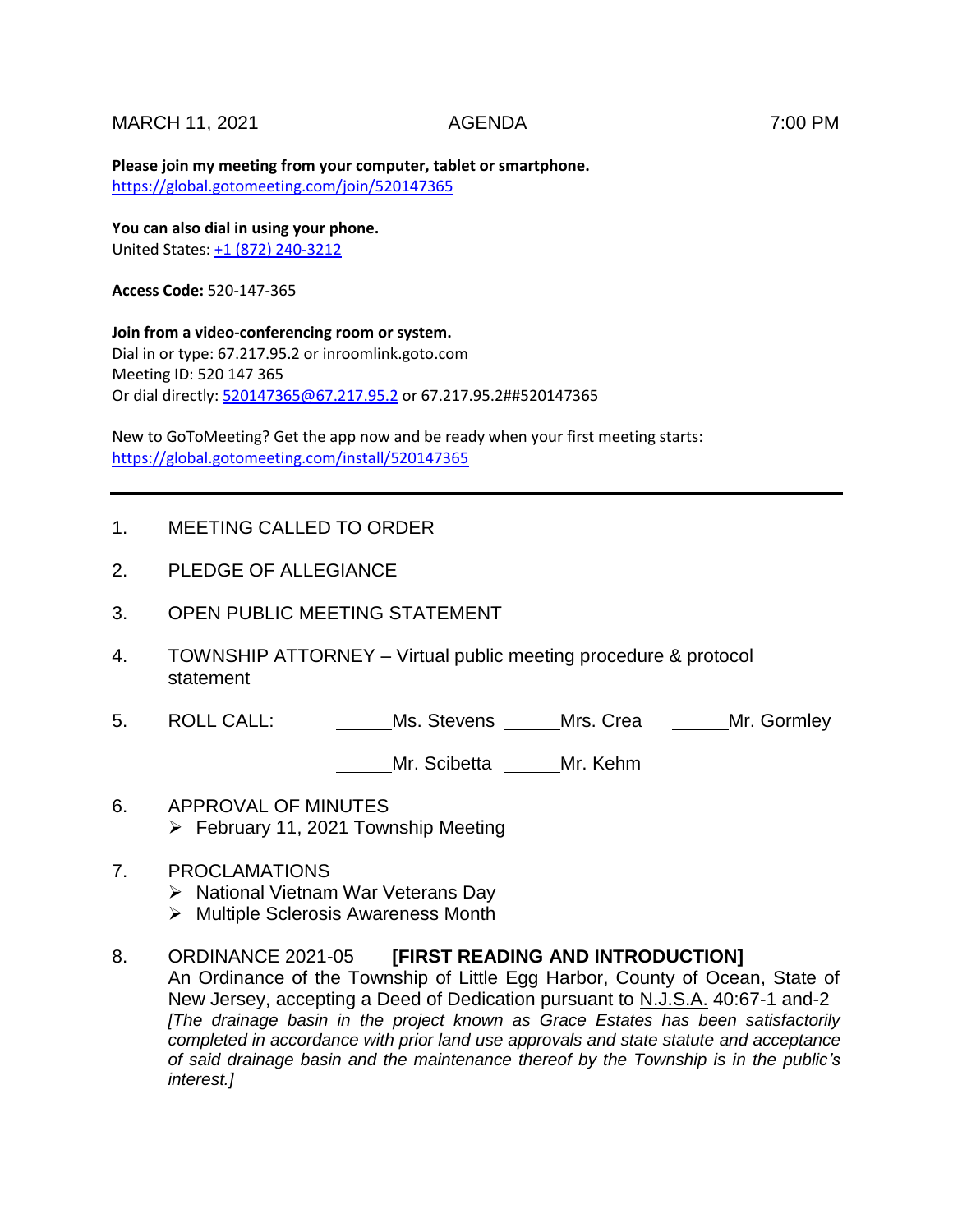## MARCH 11, 2021 AGENDA 7:00 PM

**Please join my meeting from your computer, tablet or smartphone.**  <https://global.gotomeeting.com/join/520147365>

**You can also dial in using your phone.** United States[: +1 \(872\) 240-3212](tel:+18722403212,,520147365)

**Access Code:** 520-147-365

**Join from a video-conferencing room or system.** Dial in or type: 67.217.95.2 or inroomlink.goto.com Meeting ID: 520 147 365 Or dial directly: [520147365@67.217.95.2](mailto:520147365@67.217.95.2) or 67.217.95.2##520147365

New to GoToMeeting? Get the app now and be ready when your first meeting starts: <https://global.gotomeeting.com/install/520147365>

### 1. MEETING CALLED TO ORDER

- 2. PLEDGE OF ALLEGIANCE
- 3. OPEN PUBLIC MEETING STATEMENT
- 4. TOWNSHIP ATTORNEY Virtual public meeting procedure & protocol statement
- 5. ROLL CALL: Ms. Stevens Mrs. Crea Mr. Gormley

Mr. Scibetta \_\_\_\_\_Mr. Kehm

- 6. APPROVAL OF MINUTES  $\triangleright$  February 11, 2021 Township Meeting
- 7. PROCLAMATIONS
	- $\triangleright$  National Vietnam War Veterans Day
	- $\triangleright$  Multiple Sclerosis Awareness Month

#### 8. ORDINANCE 2021-05 **[FIRST READING AND INTRODUCTION]**

An Ordinance of the Township of Little Egg Harbor, County of Ocean, State of New Jersey, accepting a Deed of Dedication pursuant to N.J.S.A. 40:67-1 and-2 *[The drainage basin in the project known as Grace Estates has been satisfactorily completed in accordance with prior land use approvals and state statute and acceptance of said drainage basin and the maintenance thereof by the Township is in the public's interest.]*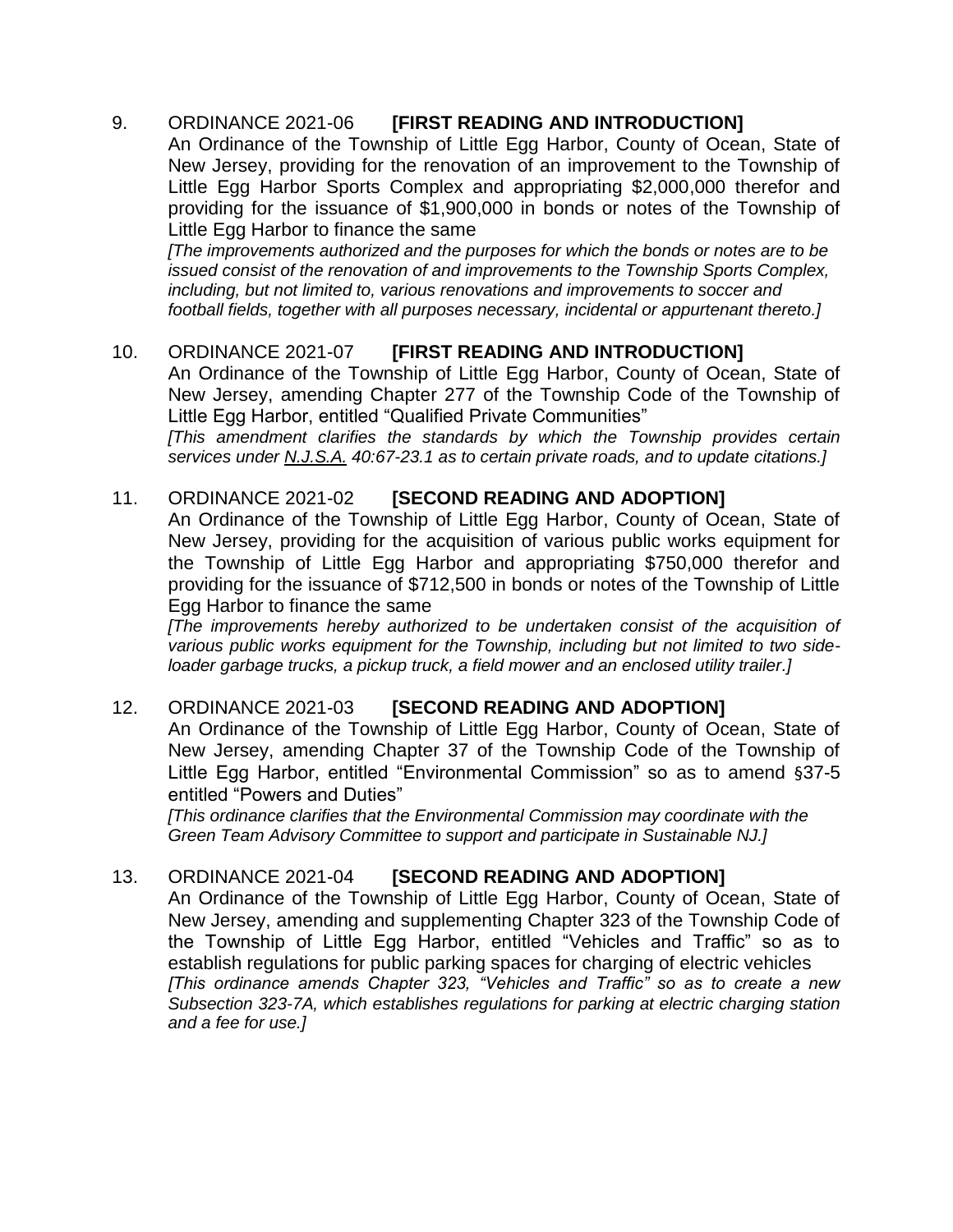# 9. ORDINANCE 2021-06 **[FIRST READING AND INTRODUCTION]**

An Ordinance of the Township of Little Egg Harbor, County of Ocean, State of New Jersey, providing for the renovation of an improvement to the Township of Little Egg Harbor Sports Complex and appropriating \$2,000,000 therefor and providing for the issuance of \$1,900,000 in bonds or notes of the Township of Little Egg Harbor to finance the same

*[The improvements authorized and the purposes for which the bonds or notes are to be issued consist of the renovation of and improvements to the Township Sports Complex, including, but not limited to, various renovations and improvements to soccer and football fields, together with all purposes necessary, incidental or appurtenant thereto.]*

# 10. ORDINANCE 2021-07 **[FIRST READING AND INTRODUCTION]**

An Ordinance of the Township of Little Egg Harbor, County of Ocean, State of New Jersey, amending Chapter 277 of the Township Code of the Township of Little Egg Harbor, entitled "Qualified Private Communities"

*[This amendment clarifies the standards by which the Township provides certain services under N.J.S.A. 40:67-23.1 as to certain private roads, and to update citations.]*

# 11. ORDINANCE 2021-02 **[SECOND READING AND ADOPTION]**

An Ordinance of the Township of Little Egg Harbor, County of Ocean, State of New Jersey, providing for the acquisition of various public works equipment for the Township of Little Egg Harbor and appropriating \$750,000 therefor and providing for the issuance of \$712,500 in bonds or notes of the Township of Little Egg Harbor to finance the same

*[The improvements hereby authorized to be undertaken consist of the acquisition of various public works equipment for the Township, including but not limited to two sideloader garbage trucks, a pickup truck, a field mower and an enclosed utility trailer.]*

# 12. ORDINANCE 2021-03 **[SECOND READING AND ADOPTION]**

An Ordinance of the Township of Little Egg Harbor, County of Ocean, State of New Jersey, amending Chapter 37 of the Township Code of the Township of Little Egg Harbor, entitled "Environmental Commission" so as to amend §37-5 entitled "Powers and Duties"

*[This ordinance clarifies that the Environmental Commission may coordinate with the Green Team Advisory Committee to support and participate in Sustainable NJ.]*

# 13. ORDINANCE 2021-04 **[SECOND READING AND ADOPTION]**

An Ordinance of the Township of Little Egg Harbor, County of Ocean, State of New Jersey, amending and supplementing Chapter 323 of the Township Code of the Township of Little Egg Harbor, entitled "Vehicles and Traffic" so as to establish regulations for public parking spaces for charging of electric vehicles *[This ordinance amends Chapter 323, "Vehicles and Traffic" so as to create a new Subsection 323-7A, which establishes regulations for parking at electric charging station and a fee for use.]*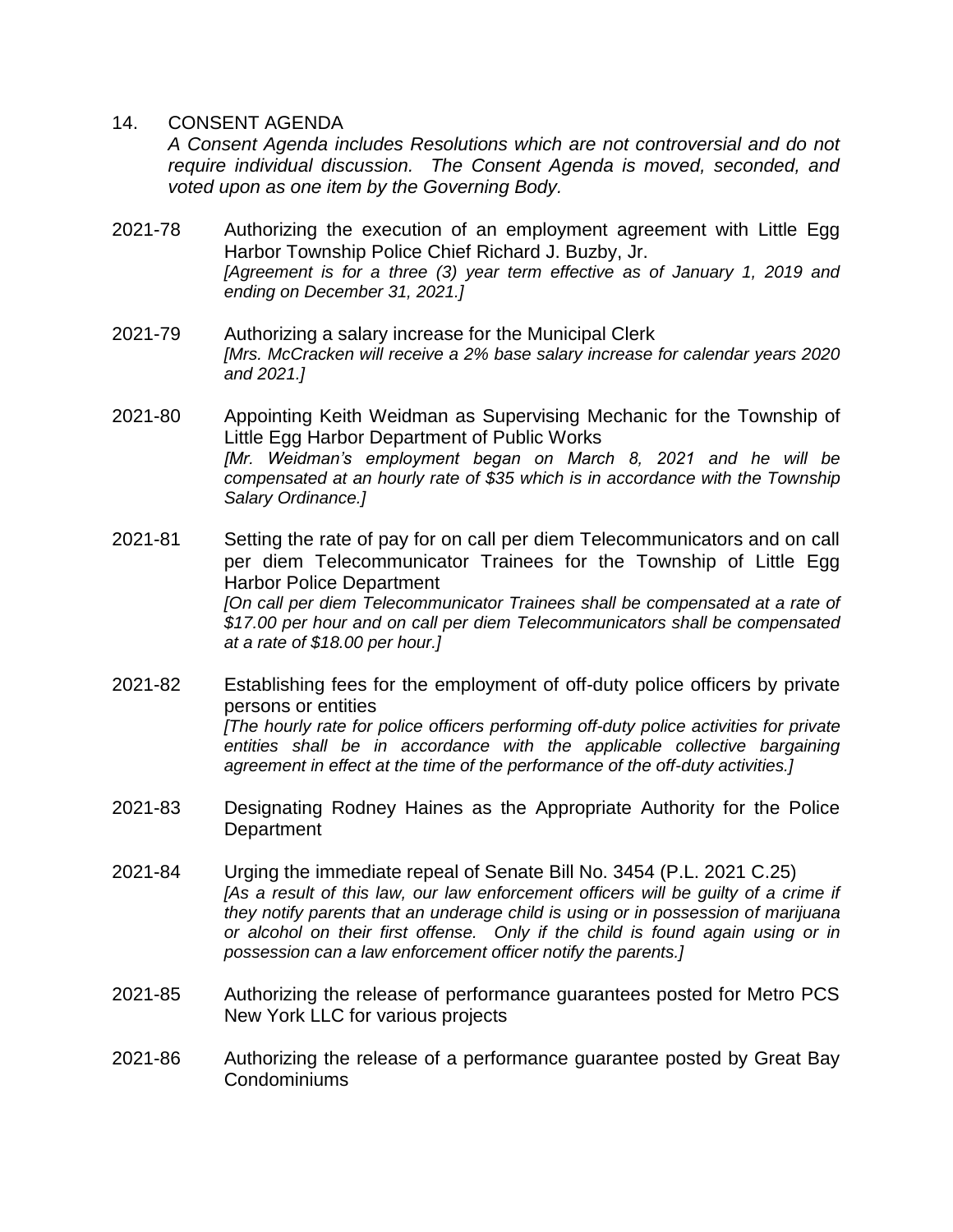## 14. CONSENT AGENDA

*A Consent Agenda includes Resolutions which are not controversial and do not require individual discussion. The Consent Agenda is moved, seconded, and voted upon as one item by the Governing Body.* 

- 2021-78 Authorizing the execution of an employment agreement with Little Egg Harbor Township Police Chief Richard J. Buzby, Jr. *[Agreement is for a three (3) year term effective as of January 1, 2019 and ending on December 31, 2021.]*
- 2021-79 Authorizing a salary increase for the Municipal Clerk *[Mrs. McCracken will receive a 2% base salary increase for calendar years 2020 and 2021.]*
- 2021-80 Appointing Keith Weidman as Supervising Mechanic for the Township of Little Egg Harbor Department of Public Works *[Mr. Weidman's employment began on March 8, 2021 and he will be compensated at an hourly rate of \$35 which is in accordance with the Township Salary Ordinance.]*
- 2021-81 Setting the rate of pay for on call per diem Telecommunicators and on call per diem Telecommunicator Trainees for the Township of Little Egg Harbor Police Department [On call per diem Telecommunicator Trainees shall be compensated at a rate of *\$17.00 per hour and on call per diem Telecommunicators shall be compensated at a rate of \$18.00 per hour.]*
- 2021-82 Establishing fees for the employment of off-duty police officers by private persons or entities *[The hourly rate for police officers performing off-duty police activities for private entities shall be in accordance with the applicable collective bargaining agreement in effect at the time of the performance of the off-duty activities.]*
- 2021-83 Designating Rodney Haines as the Appropriate Authority for the Police **Department**
- 2021-84 Urging the immediate repeal of Senate Bill No. 3454 (P.L. 2021 C.25) *[As a result of this law, our law enforcement officers will be quilty of a crime if they notify parents that an underage child is using or in possession of marijuana or alcohol on their first offense. Only if the child is found again using or in possession can a law enforcement officer notify the parents.]*
- 2021-85 Authorizing the release of performance guarantees posted for Metro PCS New York LLC for various projects
- 2021-86 Authorizing the release of a performance guarantee posted by Great Bay Condominiums